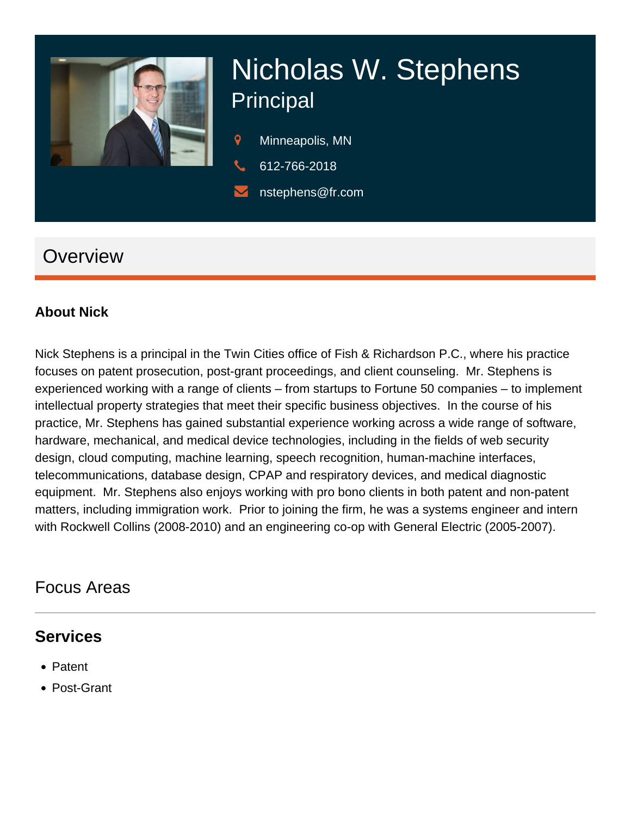

# Nicholas W. Stephens **Principal**

- 9 Minneapolis, MN
- 612-766-2018
- nstephens@fr.com

# **Overview**

#### **About Nick**

Nick Stephens is a principal in the Twin Cities office of Fish & Richardson P.C., where his practice focuses on patent prosecution, post-grant proceedings, and client counseling. Mr. Stephens is experienced working with a range of clients – from startups to Fortune 50 companies – to implement intellectual property strategies that meet their specific business objectives. In the course of his practice, Mr. Stephens has gained substantial experience working across a wide range of software, hardware, mechanical, and medical device technologies, including in the fields of web security design, cloud computing, machine learning, speech recognition, human-machine interfaces, telecommunications, database design, CPAP and respiratory devices, and medical diagnostic equipment. Mr. Stephens also enjoys working with pro bono clients in both patent and non-patent matters, including immigration work. Prior to joining the firm, he was a systems engineer and intern with Rockwell Collins (2008-2010) and an engineering co-op with General Electric (2005-2007).

### Focus Areas

#### **Services**

- Patent
- Post-Grant